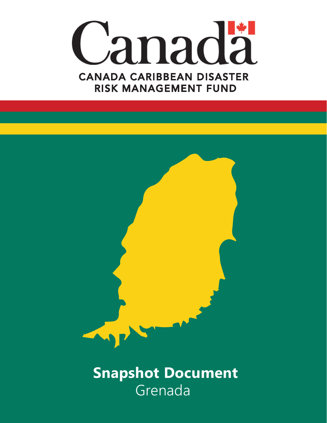



Grenada  **Snapshot Document**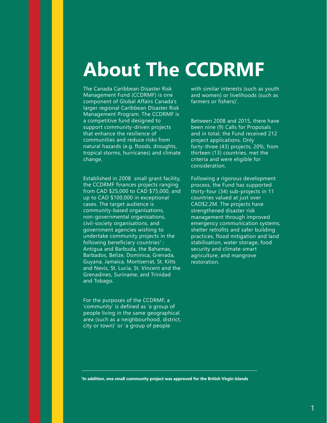# **About The CCDRMF**

The Canada Caribbean Disaster Risk Management Fund (CCDRMF) is one component of Global Affairs Canada's larger regional Caribbean Disaster Risk Management Program. The CCDRMF is a competitive fund designed to support community-driven projects that enhance the resilience of communities and reduce risks from natural hazards (e.g. floods, droughts, tropical storms, hurricanes) and climate change.

Established in 2008 small grant facility, the CCDRMF finances projects ranging from CAD \$25,000 to CAD \$75,000, and up to CAD \$100,000 in exceptional cases. The target audience is community-based organisations, non-governmental organisations, civil-society organisations, and government agencies wishing to undertake community projects in the following beneficiary countries<sup>1</sup>: Antigua and Barbuda, the Bahamas, Barbados, Belize, Dominica, Grenada, Guyana, Jamaica, Montserrat, St. Kitts and Nevis, St. Lucia, St. Vincent and the Grenadines, Suriname, and Trinidad and Tobago.

For the purposes of the CCDRMF, a 'community' is defined as 'a group of people living in the same geographical area (such as a neighbourhood, district, city or town)' or 'a group of people

with similar interests (such as youth and women) or livelihoods (such as farmers or fishers)'.

Between 2008 and 2015, there have been nine (9) Calls for Proposals and in total, the Fund received 212 project applications. Only forty-three (43) projects, 20%, from thirteen (13) countries, met the criteria and were eligible for consideration.

Following a rigorous development process, the Fund has supported thirty-four (34) sub-projects in 11 countries valued at just over CAD\$2.2M. The projects have strengthened disaster risk management through improved emergency communication systems, shelter retrofits and safer building practices, flood mitigation and land stabilisation, water storage, food security and climate-smart agriculture, and mangrove restoration.

**1 In addition, one small community project was approved for the British Virgin Islands**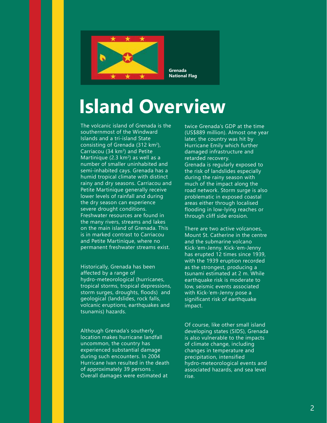

# **Island Overview**

The volcanic island of Grenada is the southernmost of the Windward Islands and a tri-island State consisting of Grenada  $(312 \text{ km}^2)$ , Carriacou (34  $km<sup>2</sup>$ ) and Petite Martinique  $(2.3 \text{ km}^2)$  as well as a number of smaller uninhabited and semi-inhabited cays. Grenada has a humid tropical climate with distinct rainy and dry seasons. Carriacou and Petite Martinique generally receive lower levels of rainfall and during the dry season can experience severe drought conditions. Freshwater resources are found in the many rivers, streams and lakes on the main island of Grenada. This is in marked contrast to Carriacou and Petite Martinique, where no permanent freshwater streams exist.

Historically, Grenada has been affected by a range of hydro-meteorological (hurricanes, tropical storms, tropical depressions, storm surges, droughts, floods) and geological (landslides, rock falls, volcanic eruptions, earthquakes and tsunamis) hazards.

Although Grenada's southerly location makes hurricane landfall uncommon, the country has experienced substantial damage during such encounters. In 2004 Hurricane Ivan resulted in the death of approximately 39 persons . Overall damages were estimated at

twice Grenada's GDP at the time (US\$889 million). Almost one year later, the country was hit by Hurricane Emily which further damaged infrastructure and retarded recovery. Grenada is regularly exposed to the risk of landslides especially during the rainy season with much of the impact along the road network. Storm surge is also problematic in exposed coastal areas either through localised flooding in low-lying reaches or through cliff side erosion.

There are two active volcanoes, Mount St. Catherine in the centre and the submarine volcano Kick-'em-Jenny. Kick-'em-Jenny has erupted 12 times since 1939, with the 1939 eruption recorded as the strongest, producing a tsunami estimated at 2 m. While earthquake risk is moderate to low, seismic events associated with Kick-'em-Jenny pose a significant risk of earthquake impact.

Of course, like other small island developing states (SIDS), Grenada is also vulnerable to the impacts of climate change, including changes in temperature and precipitation, intensified hydro-meteorological events and associated hazards, and sea level rise.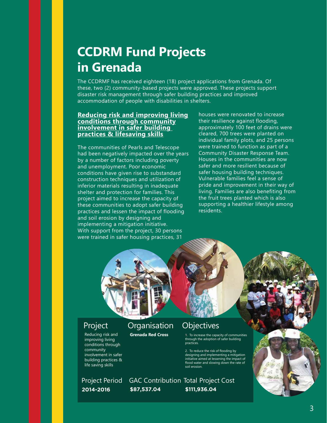## **CCDRM Fund Projects in Grenada**

The CCDRMF has received eighteen (18) project applications from Grenada. Of these, two (2) community-based projects were approved. These projects support disaster risk management through safer building practices and improved accommodation of people with disabilities in shelters.

### **Reducing risk and improving living conditions through community involvement in safer building practices & lifesaving skills**

The communities of Pearls and Telescope had been negatively impacted over the years by a number of factors including poverty and unemployment. Poor economic conditions have given rise to substandard construction techniques and utilization of inferior materials resulting in inadequate shelter and protection for families. This project aimed to increase the capacity of these communities to adopt safer building practices and lessen the impact of flooding and soil erosion by designing and implementing a mitigation initiative. With support from the project, 30 persons were trained in safer housing practices, 31

houses were renovated to increase their resilience against flooding, approximately 100 feet of drains were cleared, 700 trees were planted on individual family plots, and 25 persons were trained to function as part of a Community Disaster Response Team. Houses in the communities are now safer and more resilient because of safer housing building techniques. Vulnerable families feel a sense of pride and improvement in their way of living. Families are also benefiting from the fruit trees planted which is also supporting a healthier lifestyle among residents.



Reducing risk and improving living conditions through community involvement in safer building practices & life saving skills

## Project Organisation Objectives

**Grenada Red Cross**

1. To increase the capacity of communities through the adoption of safer building practices.

2. To reduce the risk of flooding by designing and implementing a mitigation initiative aimed at lessening the impact of flood water and slowing down the rate of soil erosion.

**2014-2016 \$87,537.04 \$111,936.04** Project Period GAC Contribution Total Project Cost

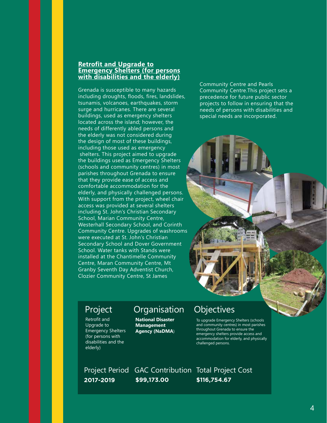### **Retrofit and Upgrade to Emergency Shelters (for persons with disabilities and the elderly)**

Grenada is susceptible to many hazards including droughts, floods, fires, landslides, tsunamis, volcanoes, earthquakes, storm surge and hurricanes. There are several buildings, used as emergency shelters located across the island; however, the needs of differently abled persons and the elderly was not considered during the design of most of these buildings, including those used as emergency shelters. This project aimed to upgrade the buildings used as Emergency Shelters (schools and community centres) in most parishes throughout Grenada to ensure that they provide ease of access and comfortable accommodation for the elderly, and physically challenged persons. With support from the project, wheel chair access was provided at several shelters including St. John's Christian Secondary School, Marian Community Centre, Westerhall Secondary School, and Corinth Community Centre. Upgrades of washrooms were executed at St. John's Christian Secondary School and Dover Government School. Water tanks with Stands were installed at the Chantimelle Community Centre, Maran Community Centre, Mt Granby Seventh Day Adventist Church, Clozier Community Centre, St James

Community Centre and Pearls Community Centre.This project sets a precedence for future public sector projects to follow in ensuring that the needs of persons with disabilities and special needs are incorporated.



Retrofit and Upgrade to Emergency Shelters (for persons with disabilities and the elderly)

## Project Organisation Objectives

**National Disaster Management Agency (NaDMA**)

To upgrade Emergency Shelters (schools and community centres) in most parishes throughout Grenada to ensure the emergency shelters provide access and accommodation for elderly, and physically challenged persons.

**2017-2019 \$99,173.00 \$116,754.67** Project Period GAC Contribution Total Project Cost